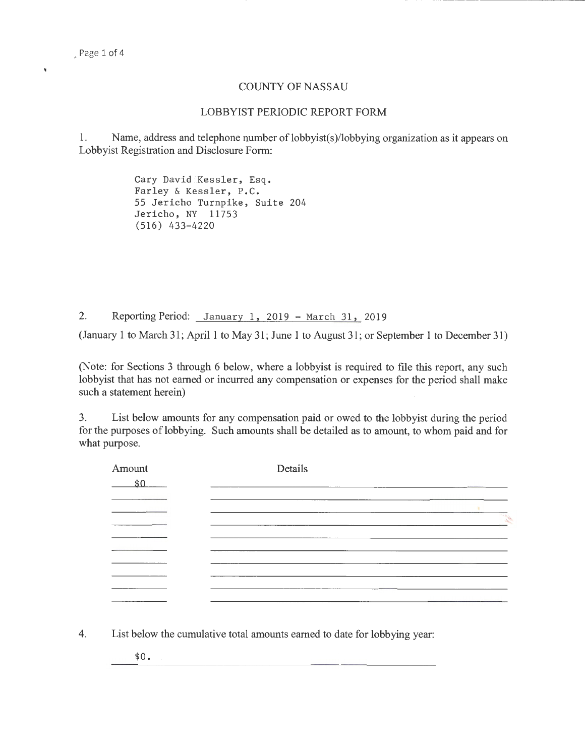Ń

## COUNTY OF NASSAU

## LOBBYIST PERIODIC REPORT FORM

1. Name, address and telephone number of lobbyist(s)/lobbying organization as it appears on Lobbyist Registration and Disclosure Form:

> Cary David Kessler, Esq. Farley & Kessler, P.C. 65 Jericho Turnpike, Suite 204 Jericho, NY 11753 (516) 433-4220

2. Reporting Period: January 1, 2019 - March 31, 2019

(January 1 to March 31; April 1 to May 31; June 1 to August 31; or September 1 to December 31)

(Note: for Sections 3 through 6 below, where a lobbyist is required to file this report, any such lobbyist that has not earned or incurred any compensation or expenses for the period shall make such a statement herein)

3. List below amounts for any compensation paid or owed to the lobbyist during the period for the purposes of lobbying. Such amounts shall be detailed as to amount, to whom paid and for what purpose.

| Amount<br>\$0 | Details |               |
|---------------|---------|---------------|
|               |         |               |
|               |         | <b>CALLED</b> |
|               |         |               |
|               |         |               |
|               |         |               |
|               |         |               |
|               |         |               |
|               |         |               |

4. List below the cumulative total amounts earned to date for lobbying year:

 $$0.$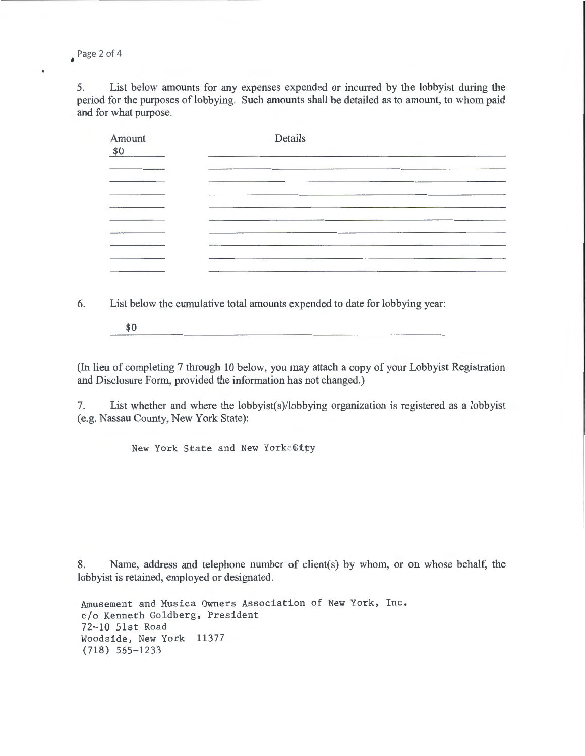Page 2 of 4

 $\bar{\mathbf{v}}$ 

5. List below amounts for any expenses expended or incurred by the lobbyist during the period for the purposes of lobbying. Such amounts shall be detailed as to amount, to whom paid and for what purpose.

| Amount<br>\$0 | Details |  |
|---------------|---------|--|
|               |         |  |
|               |         |  |
|               |         |  |
|               |         |  |
|               |         |  |
|               |         |  |

6. List below the cumulative total amounts expended to date for lobbying year:

\$0

(In lieu of completing 7 through 10 below, you may attach a copy of your Lobbyist Registration and Disclosure Form, provided the information has not changed.)

7. List whether and where the lobbyist(s)/lobbying organization is registered as a lobbyist (e.g. Nassau County, New York State):

New York State and New York City

8. Name, address and telephone number of client(s) by whom, or on whose behalf, the lobbyist is retained, employed or designated.

Amusement and Musica Owners Association of New York, Inc. c/o Kenneth Goldberg, President 72-10 51st Road Woodside, New York 11377 (718) 565-1233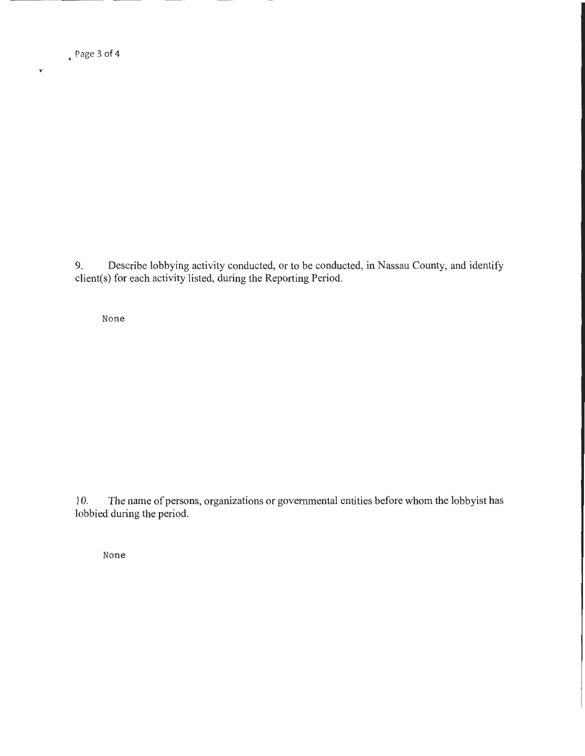• Page 3 of 4

 $\checkmark$ 

9. Describe lobbying activity conducted, or to be conducted, in Nassau County, and identify client(s) for each activity listed, during the Reporting Period.

None

10. The name of persons, organizations or governmental entities before whom the lobbyist has lobbied during the period.

None